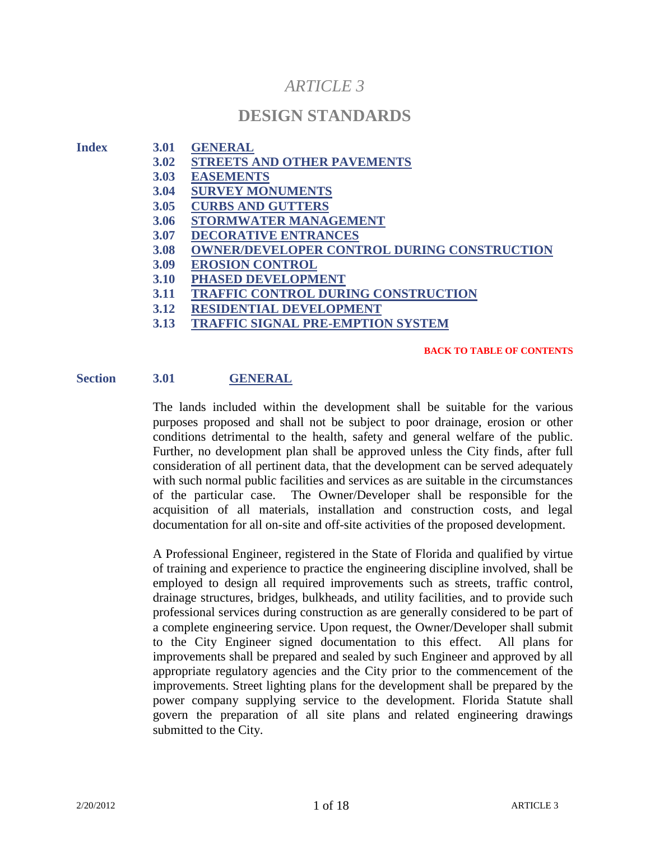# *ARTICLE 3*

# **DESIGN STANDARDS**

| <b>Index</b> | <b>3.01</b> | <b>GENERAL</b>                                     |
|--------------|-------------|----------------------------------------------------|
|              | 3.02        | <b>STREETS AND OTHER PAVEMENTS</b>                 |
|              | 3.03        | <b>EASEMENTS</b>                                   |
|              | 3.04        | <b>SURVEY MONUMENTS</b>                            |
|              | <b>3.05</b> | <b>CURBS AND GUTTERS</b>                           |
|              | 3.06        | <b>STORMWATER MANAGEMENT</b>                       |
|              | 3.07        | <b>DECORATIVE ENTRANCES</b>                        |
|              | <b>3.08</b> | <b>OWNER/DEVELOPER CONTROL DURING CONSTRUCTION</b> |
|              | <b>3.09</b> | <b>EROSION CONTROL</b>                             |
|              | <b>3.10</b> | <b>PHASED DEVELOPMENT</b>                          |
|              | 3.11        | TRAFFIC CONTROL DURING CONSTRUCTION                |
|              | 3.12        | <b>RESIDENTIAL DEVELOPMENT</b>                     |
|              | 3.13        | <b>TRAFFIC SIGNAL PRE-EMPTION SYSTEM</b>           |
|              |             |                                                    |

#### **BACK TO TABLE OF CONTENTS**

#### **Section 3.01 GENERAL**

The lands included within the development shall be suitable for the various purposes proposed and shall not be subject to poor drainage, erosion or other conditions detrimental to the health, safety and general welfare of the public. Further, no development plan shall be approved unless the City finds, after full consideration of all pertinent data, that the development can be served adequately with such normal public facilities and services as are suitable in the circumstances of the particular case. The Owner/Developer shall be responsible for the acquisition of all materials, installation and construction costs, and legal documentation for all on-site and off-site activities of the proposed development.

A Professional Engineer, registered in the State of Florida and qualified by virtue of training and experience to practice the engineering discipline involved, shall be employed to design all required improvements such as streets, traffic control, drainage structures, bridges, bulkheads, and utility facilities, and to provide such professional services during construction as are generally considered to be part of a complete engineering service. Upon request, the Owner/Developer shall submit to the City Engineer signed documentation to this effect. All plans for improvements shall be prepared and sealed by such Engineer and approved by all appropriate regulatory agencies and the City prior to the commencement of the improvements. Street lighting plans for the development shall be prepared by the power company supplying service to the development. Florida Statute shall govern the preparation of all site plans and related engineering drawings submitted to the City.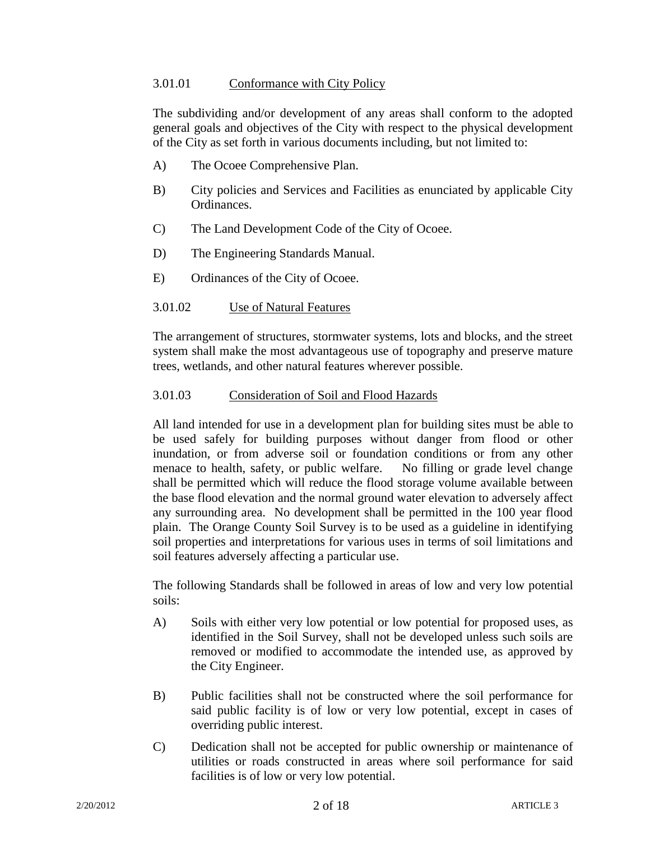## 3.01.01 Conformance with City Policy

The subdividing and/or development of any areas shall conform to the adopted general goals and objectives of the City with respect to the physical development of the City as set forth in various documents including, but not limited to:

- A) The Ocoee Comprehensive Plan.
- B) City policies and Services and Facilities as enunciated by applicable City Ordinances.
- C) The Land Development Code of the City of Ocoee.
- D) The Engineering Standards Manual.
- E) Ordinances of the City of Ocoee.

## 3.01.02 Use of Natural Features

The arrangement of structures, stormwater systems, lots and blocks, and the street system shall make the most advantageous use of topography and preserve mature trees, wetlands, and other natural features wherever possible.

## 3.01.03 Consideration of Soil and Flood Hazards

All land intended for use in a development plan for building sites must be able to be used safely for building purposes without danger from flood or other inundation, or from adverse soil or foundation conditions or from any other menace to health, safety, or public welfare. No filling or grade level change shall be permitted which will reduce the flood storage volume available between the base flood elevation and the normal ground water elevation to adversely affect any surrounding area. No development shall be permitted in the 100 year flood plain. The Orange County Soil Survey is to be used as a guideline in identifying soil properties and interpretations for various uses in terms of soil limitations and soil features adversely affecting a particular use.

The following Standards shall be followed in areas of low and very low potential soils:

- A) Soils with either very low potential or low potential for proposed uses, as identified in the Soil Survey, shall not be developed unless such soils are removed or modified to accommodate the intended use, as approved by the City Engineer.
- B) Public facilities shall not be constructed where the soil performance for said public facility is of low or very low potential, except in cases of overriding public interest.
- C) Dedication shall not be accepted for public ownership or maintenance of utilities or roads constructed in areas where soil performance for said facilities is of low or very low potential.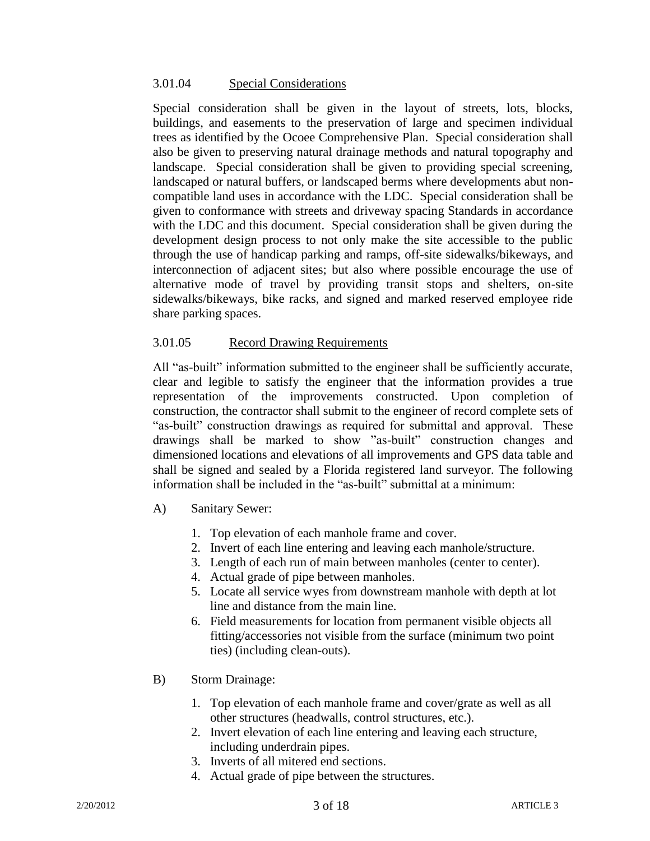## 3.01.04 Special Considerations

Special consideration shall be given in the layout of streets, lots, blocks, buildings, and easements to the preservation of large and specimen individual trees as identified by the Ocoee Comprehensive Plan. Special consideration shall also be given to preserving natural drainage methods and natural topography and landscape. Special consideration shall be given to providing special screening, landscaped or natural buffers, or landscaped berms where developments abut noncompatible land uses in accordance with the LDC. Special consideration shall be given to conformance with streets and driveway spacing Standards in accordance with the LDC and this document. Special consideration shall be given during the development design process to not only make the site accessible to the public through the use of handicap parking and ramps, off-site sidewalks/bikeways, and interconnection of adjacent sites; but also where possible encourage the use of alternative mode of travel by providing transit stops and shelters, on-site sidewalks/bikeways, bike racks, and signed and marked reserved employee ride share parking spaces.

## 3.01.05 Record Drawing Requirements

All "as-built" information submitted to the engineer shall be sufficiently accurate, clear and legible to satisfy the engineer that the information provides a true representation of the improvements constructed. Upon completion of construction, the contractor shall submit to the engineer of record complete sets of "as-built" construction drawings as required for submittal and approval. These drawings shall be marked to show "as-built" construction changes and dimensioned locations and elevations of all improvements and GPS data table and shall be signed and sealed by a Florida registered land surveyor. The following information shall be included in the "as-built" submittal at a minimum:

- A) Sanitary Sewer:
	- 1. Top elevation of each manhole frame and cover.
	- 2. Invert of each line entering and leaving each manhole/structure.
	- 3. Length of each run of main between manholes (center to center).
	- 4. Actual grade of pipe between manholes.
	- 5. Locate all service wyes from downstream manhole with depth at lot line and distance from the main line.
	- 6. Field measurements for location from permanent visible objects all fitting/accessories not visible from the surface (minimum two point ties) (including clean-outs).
- B) Storm Drainage:
	- 1. Top elevation of each manhole frame and cover/grate as well as all other structures (headwalls, control structures, etc.).
	- 2. Invert elevation of each line entering and leaving each structure, including underdrain pipes.
	- 3. Inverts of all mitered end sections.
	- 4. Actual grade of pipe between the structures.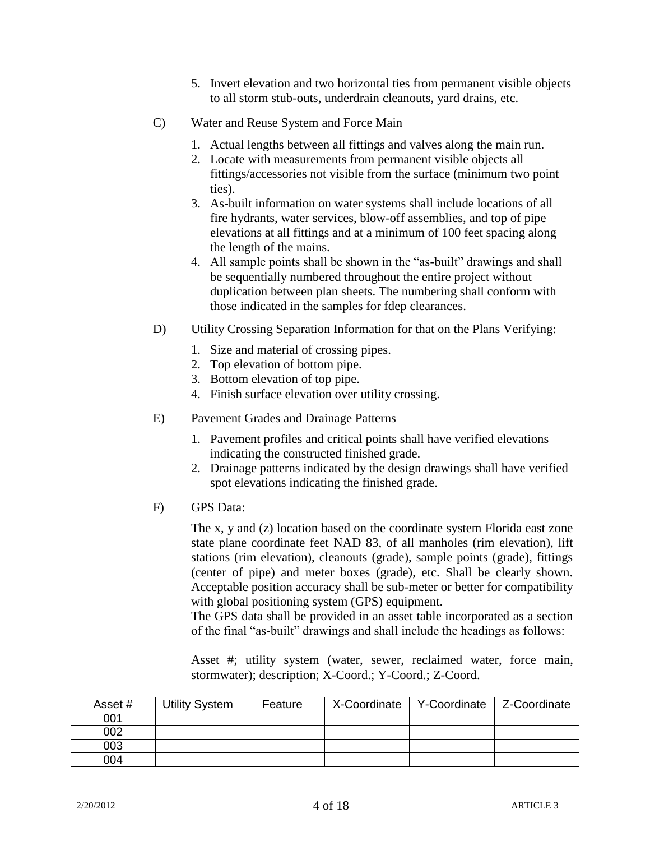- 5. Invert elevation and two horizontal ties from permanent visible objects to all storm stub-outs, underdrain cleanouts, yard drains, etc.
- C) Water and Reuse System and Force Main
	- 1. Actual lengths between all fittings and valves along the main run.
	- 2. Locate with measurements from permanent visible objects all fittings/accessories not visible from the surface (minimum two point ties).
	- 3. As-built information on water systems shall include locations of all fire hydrants, water services, blow-off assemblies, and top of pipe elevations at all fittings and at a minimum of 100 feet spacing along the length of the mains.
	- 4. All sample points shall be shown in the "as-built" drawings and shall be sequentially numbered throughout the entire project without duplication between plan sheets. The numbering shall conform with those indicated in the samples for fdep clearances.
- D) Utility Crossing Separation Information for that on the Plans Verifying:
	- 1. Size and material of crossing pipes.
	- 2. Top elevation of bottom pipe.
	- 3. Bottom elevation of top pipe.
	- 4. Finish surface elevation over utility crossing.
- E) Pavement Grades and Drainage Patterns
	- 1. Pavement profiles and critical points shall have verified elevations indicating the constructed finished grade.
	- 2. Drainage patterns indicated by the design drawings shall have verified spot elevations indicating the finished grade.
- F) GPS Data:

The x, y and (z) location based on the coordinate system Florida east zone state plane coordinate feet NAD 83, of all manholes (rim elevation), lift stations (rim elevation), cleanouts (grade), sample points (grade), fittings (center of pipe) and meter boxes (grade), etc. Shall be clearly shown. Acceptable position accuracy shall be sub-meter or better for compatibility with global positioning system (GPS) equipment.

The GPS data shall be provided in an asset table incorporated as a section of the final "as-built" drawings and shall include the headings as follows:

Asset #; utility system (water, sewer, reclaimed water, force main, stormwater); description; X-Coord.; Y-Coord.; Z-Coord.

| Asset # | Utility System | Feature | X-Coordinate | Y-Coordinate | Z-Coordinate |
|---------|----------------|---------|--------------|--------------|--------------|
| 001     |                |         |              |              |              |
| 002     |                |         |              |              |              |
| 003     |                |         |              |              |              |
| 004     |                |         |              |              |              |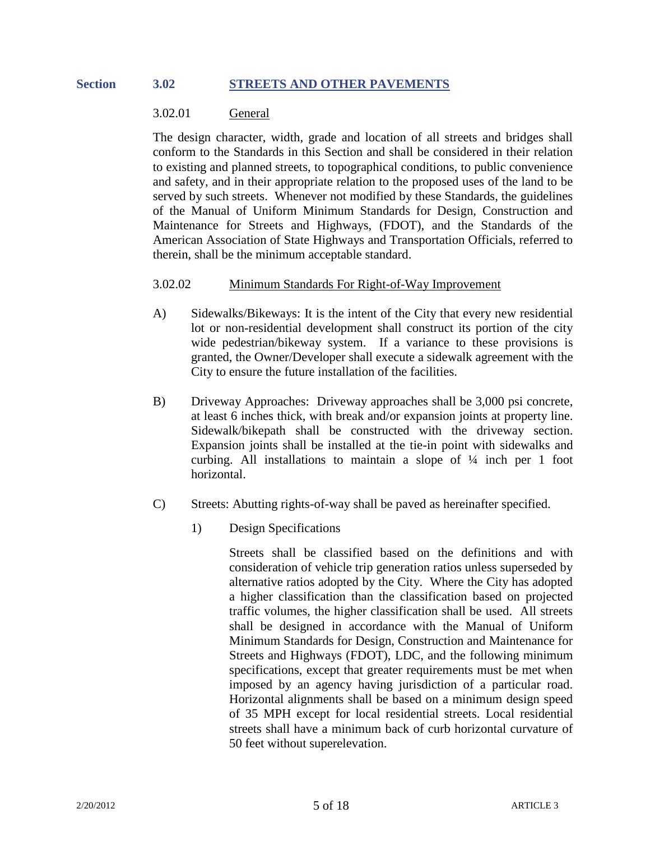#### **Section 3.02 STREETS AND OTHER PAVEMENTS**

#### 3.02.01 General

The design character, width, grade and location of all streets and bridges shall conform to the Standards in this Section and shall be considered in their relation to existing and planned streets, to topographical conditions, to public convenience and safety, and in their appropriate relation to the proposed uses of the land to be served by such streets. Whenever not modified by these Standards, the guidelines of the Manual of Uniform Minimum Standards for Design, Construction and Maintenance for Streets and Highways, (FDOT), and the Standards of the American Association of State Highways and Transportation Officials, referred to therein, shall be the minimum acceptable standard.

#### 3.02.02 Minimum Standards For Right-of-Way Improvement

- A) Sidewalks/Bikeways: It is the intent of the City that every new residential lot or non-residential development shall construct its portion of the city wide pedestrian/bikeway system. If a variance to these provisions is granted, the Owner/Developer shall execute a sidewalk agreement with the City to ensure the future installation of the facilities.
- B) Driveway Approaches: Driveway approaches shall be 3,000 psi concrete, at least 6 inches thick, with break and/or expansion joints at property line. Sidewalk/bikepath shall be constructed with the driveway section. Expansion joints shall be installed at the tie-in point with sidewalks and curbing. All installations to maintain a slope of ¼ inch per 1 foot horizontal.
- C) Streets: Abutting rights-of-way shall be paved as hereinafter specified.
	- 1) Design Specifications

Streets shall be classified based on the definitions and with consideration of vehicle trip generation ratios unless superseded by alternative ratios adopted by the City. Where the City has adopted a higher classification than the classification based on projected traffic volumes, the higher classification shall be used. All streets shall be designed in accordance with the Manual of Uniform Minimum Standards for Design, Construction and Maintenance for Streets and Highways (FDOT), LDC, and the following minimum specifications, except that greater requirements must be met when imposed by an agency having jurisdiction of a particular road. Horizontal alignments shall be based on a minimum design speed of 35 MPH except for local residential streets. Local residential streets shall have a minimum back of curb horizontal curvature of 50 feet without superelevation.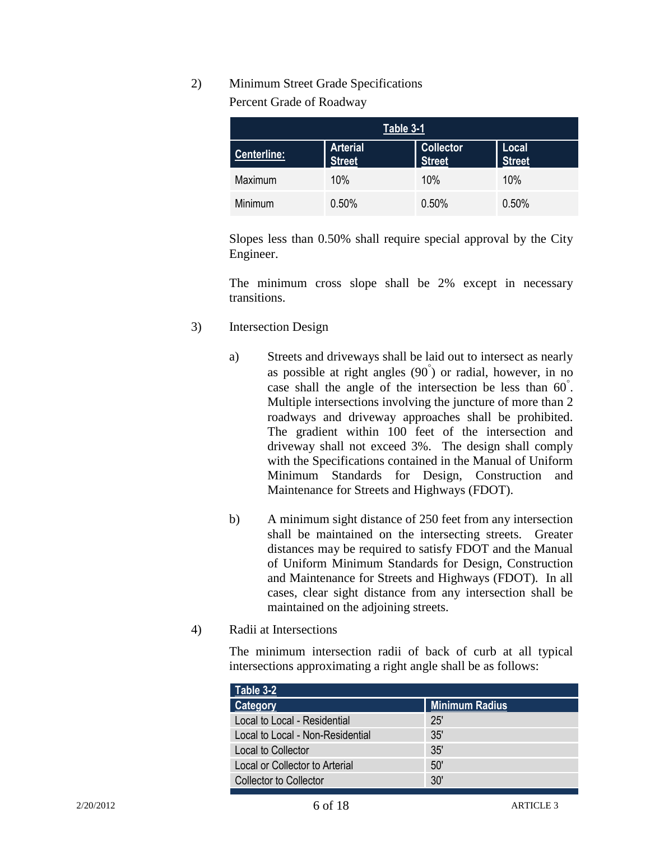# 2) Minimum Street Grade Specifications

Percent Grade of Roadway

| Table 3-1          |                                  |                                   |                        |
|--------------------|----------------------------------|-----------------------------------|------------------------|
| <b>Centerline:</b> | <b>Arterial</b><br><b>Street</b> | <b>Collector</b><br><b>Street</b> | Local<br><b>Street</b> |
| Maximum            | 10%                              | 10%                               | 10%                    |
| Minimum            | 0.50%                            | 0.50%                             | 0.50%                  |

Slopes less than 0.50% shall require special approval by the City Engineer.

The minimum cross slope shall be 2% except in necessary transitions.

- 3) Intersection Design
	- a) Streets and driveways shall be laid out to intersect as nearly as possible at right angles  $(90\degree)$  or radial, however, in no case shall the angle of the intersection be less than 60<sup>°</sup>. Multiple intersections involving the juncture of more than 2 roadways and driveway approaches shall be prohibited. The gradient within 100 feet of the intersection and driveway shall not exceed 3%. The design shall comply with the Specifications contained in the Manual of Uniform Minimum Standards for Design, Construction and Maintenance for Streets and Highways (FDOT).
	- b) A minimum sight distance of 250 feet from any intersection shall be maintained on the intersecting streets. Greater distances may be required to satisfy FDOT and the Manual of Uniform Minimum Standards for Design, Construction and Maintenance for Streets and Highways (FDOT). In all cases, clear sight distance from any intersection shall be maintained on the adjoining streets.
- 4) Radii at Intersections

The minimum intersection radii of back of curb at all typical intersections approximating a right angle shall be as follows:

| Table 3-2                        |                       |
|----------------------------------|-----------------------|
| Category                         | <b>Minimum Radius</b> |
| Local to Local - Residential     | 25'                   |
| Local to Local - Non-Residential | 35'                   |
| Local to Collector               | 35'                   |
| Local or Collector to Arterial   | 50'                   |
| <b>Collector to Collector</b>    | 30'                   |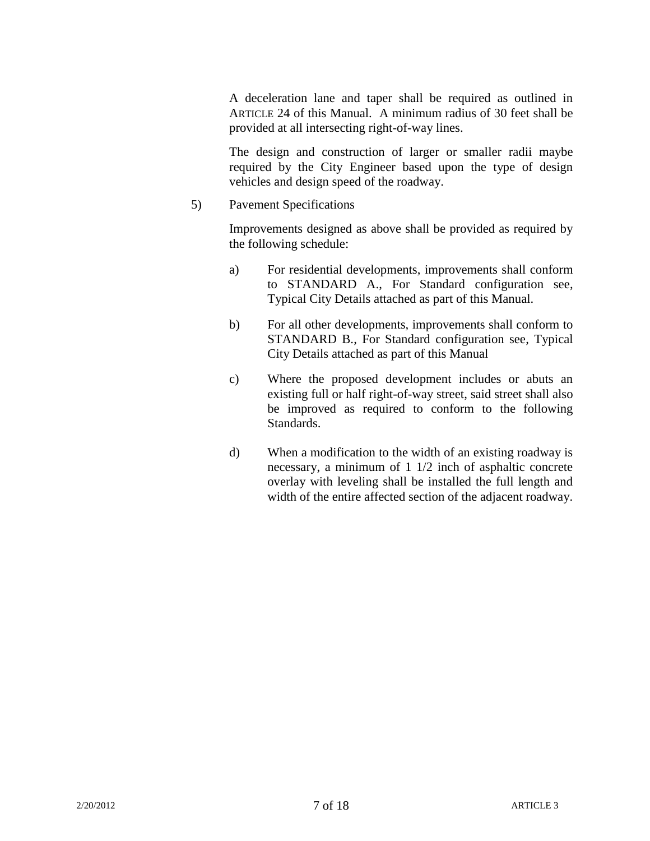A deceleration lane and taper shall be required as outlined in ARTICLE 24 of this Manual. A minimum radius of 30 feet shall be provided at all intersecting right-of-way lines.

The design and construction of larger or smaller radii maybe required by the City Engineer based upon the type of design vehicles and design speed of the roadway.

5) Pavement Specifications

Improvements designed as above shall be provided as required by the following schedule:

- a) For residential developments, improvements shall conform to STANDARD A., For Standard configuration see, Typical City Details attached as part of this Manual.
- b) For all other developments, improvements shall conform to STANDARD B., For Standard configuration see, Typical City Details attached as part of this Manual
- c) Where the proposed development includes or abuts an existing full or half right-of-way street, said street shall also be improved as required to conform to the following Standards.
- d) When a modification to the width of an existing roadway is necessary, a minimum of 1 1/2 inch of asphaltic concrete overlay with leveling shall be installed the full length and width of the entire affected section of the adjacent roadway.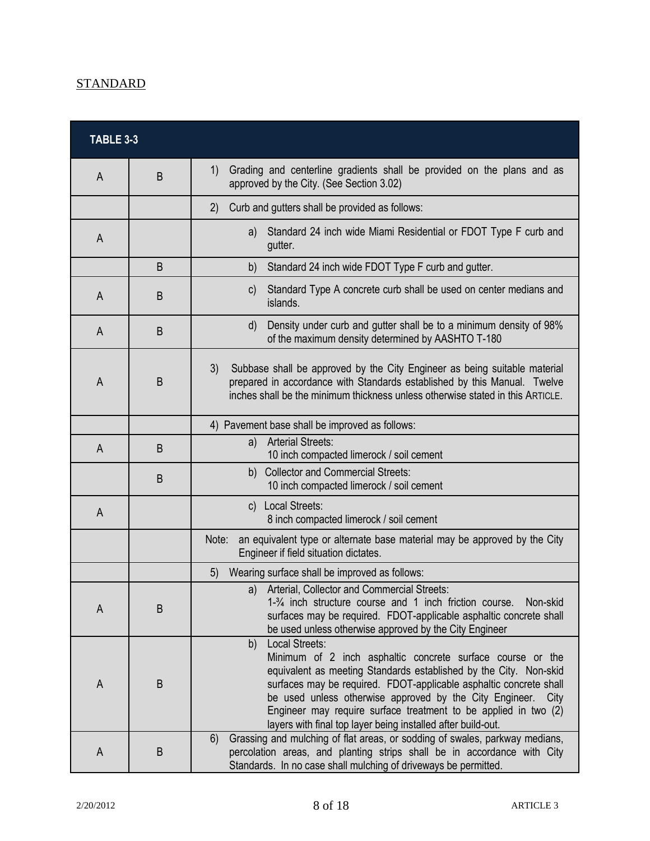# **STANDARD**

| <b>TABLE 3-3</b> |   |                                                                                                                                                                                                                                                                                                                                                                                                                                  |
|------------------|---|----------------------------------------------------------------------------------------------------------------------------------------------------------------------------------------------------------------------------------------------------------------------------------------------------------------------------------------------------------------------------------------------------------------------------------|
| A                | B | Grading and centerline gradients shall be provided on the plans and as<br>1)<br>approved by the City. (See Section 3.02)                                                                                                                                                                                                                                                                                                         |
|                  |   | Curb and gutters shall be provided as follows:<br>(2)                                                                                                                                                                                                                                                                                                                                                                            |
| A                |   | Standard 24 inch wide Miami Residential or FDOT Type F curb and<br>a)<br>gutter.                                                                                                                                                                                                                                                                                                                                                 |
|                  | B | b)<br>Standard 24 inch wide FDOT Type F curb and gutter.                                                                                                                                                                                                                                                                                                                                                                         |
| A                | B | Standard Type A concrete curb shall be used on center medians and<br>$\mathsf{C}$<br>islands.                                                                                                                                                                                                                                                                                                                                    |
| A                | B | Density under curb and gutter shall be to a minimum density of 98%<br>d)<br>of the maximum density determined by AASHTO T-180                                                                                                                                                                                                                                                                                                    |
| A                | B | Subbase shall be approved by the City Engineer as being suitable material<br>3)<br>prepared in accordance with Standards established by this Manual. Twelve<br>inches shall be the minimum thickness unless otherwise stated in this ARTICLE.                                                                                                                                                                                    |
|                  |   | 4) Pavement base shall be improved as follows:                                                                                                                                                                                                                                                                                                                                                                                   |
| A                | B | <b>Arterial Streets:</b><br>a)<br>10 inch compacted limerock / soil cement                                                                                                                                                                                                                                                                                                                                                       |
|                  | B | b) Collector and Commercial Streets:<br>10 inch compacted limerock / soil cement                                                                                                                                                                                                                                                                                                                                                 |
| A                |   | c) Local Streets:<br>8 inch compacted limerock / soil cement                                                                                                                                                                                                                                                                                                                                                                     |
|                  |   | Note:<br>an equivalent type or alternate base material may be approved by the City<br>Engineer if field situation dictates.                                                                                                                                                                                                                                                                                                      |
|                  |   | Wearing surface shall be improved as follows:<br>5)                                                                                                                                                                                                                                                                                                                                                                              |
| A                | B | a) Arterial, Collector and Commercial Streets:<br>1-3/4 inch structure course and 1 inch friction course.<br>Non-skid<br>surfaces may be required. FDOT-applicable asphaltic concrete shall<br>be used unless otherwise approved by the City Engineer                                                                                                                                                                            |
| A                | B | b)<br>Local Streets:<br>Minimum of 2 inch asphaltic concrete surface course or the<br>equivalent as meeting Standards established by the City. Non-skid<br>surfaces may be required. FDOT-applicable asphaltic concrete shall<br>be used unless otherwise approved by the City Engineer. City<br>Engineer may require surface treatment to be applied in two (2)<br>layers with final top layer being installed after build-out. |
| A                | B | 6)<br>Grassing and mulching of flat areas, or sodding of swales, parkway medians,<br>percolation areas, and planting strips shall be in accordance with City<br>Standards. In no case shall mulching of driveways be permitted.                                                                                                                                                                                                  |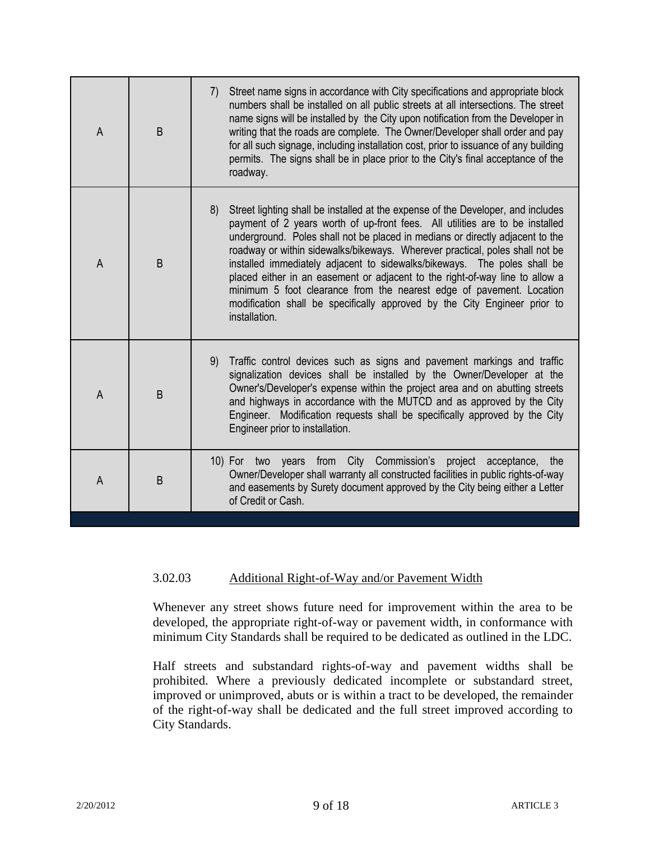| A              | B | Street name signs in accordance with City specifications and appropriate block<br>7)<br>numbers shall be installed on all public streets at all intersections. The street<br>name signs will be installed by the City upon notification from the Developer in<br>writing that the roads are complete. The Owner/Developer shall order and pay<br>for all such signage, including installation cost, prior to issuance of any building<br>permits. The signs shall be in place prior to the City's final acceptance of the<br>roadway.                                                                                                                                     |
|----------------|---|---------------------------------------------------------------------------------------------------------------------------------------------------------------------------------------------------------------------------------------------------------------------------------------------------------------------------------------------------------------------------------------------------------------------------------------------------------------------------------------------------------------------------------------------------------------------------------------------------------------------------------------------------------------------------|
| $\overline{A}$ | B | Street lighting shall be installed at the expense of the Developer, and includes<br>8)<br>payment of 2 years worth of up-front fees. All utilities are to be installed<br>underground. Poles shall not be placed in medians or directly adjacent to the<br>roadway or within sidewalks/bikeways. Wherever practical, poles shall not be<br>installed immediately adjacent to sidewalks/bikeways. The poles shall be<br>placed either in an easement or adjacent to the right-of-way line to allow a<br>minimum 5 foot clearance from the nearest edge of pavement. Location<br>modification shall be specifically approved by the City Engineer prior to<br>installation. |
| A              | B | Traffic control devices such as signs and pavement markings and traffic<br>9)<br>signalization devices shall be installed by the Owner/Developer at the<br>Owner's/Developer's expense within the project area and on abutting streets<br>and highways in accordance with the MUTCD and as approved by the City<br>Engineer. Modification requests shall be specifically approved by the City<br>Engineer prior to installation.                                                                                                                                                                                                                                          |
| A              | B | 10) For two years from City Commission's project acceptance,<br>the<br>Owner/Developer shall warranty all constructed facilities in public rights-of-way<br>and easements by Surety document approved by the City being either a Letter<br>of Credit or Cash.                                                                                                                                                                                                                                                                                                                                                                                                             |

# 3.02.03 Additional Right-of-Way and/or Pavement Width

Whenever any street shows future need for improvement within the area to be developed, the appropriate right-of-way or pavement width, in conformance with minimum City Standards shall be required to be dedicated as outlined in the LDC.

Half streets and substandard rights-of-way and pavement widths shall be prohibited. Where a previously dedicated incomplete or substandard street, improved or unimproved, abuts or is within a tract to be developed, the remainder of the right-of-way shall be dedicated and the full street improved according to City Standards.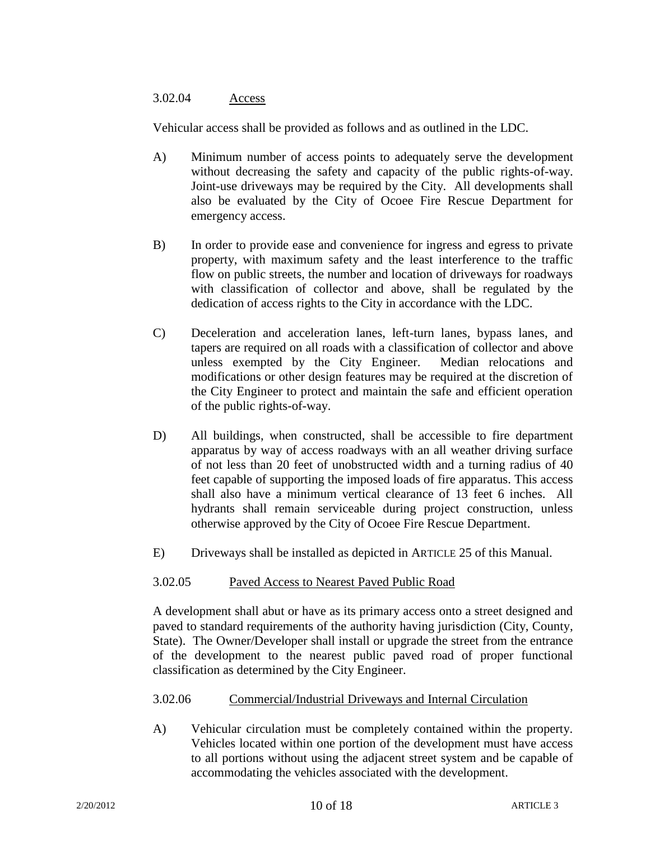## 3.02.04 Access

Vehicular access shall be provided as follows and as outlined in the LDC.

- A) Minimum number of access points to adequately serve the development without decreasing the safety and capacity of the public rights-of-way. Joint-use driveways may be required by the City. All developments shall also be evaluated by the City of Ocoee Fire Rescue Department for emergency access.
- B) In order to provide ease and convenience for ingress and egress to private property, with maximum safety and the least interference to the traffic flow on public streets, the number and location of driveways for roadways with classification of collector and above, shall be regulated by the dedication of access rights to the City in accordance with the LDC.
- C) Deceleration and acceleration lanes, left-turn lanes, bypass lanes, and tapers are required on all roads with a classification of collector and above unless exempted by the City Engineer. Median relocations and modifications or other design features may be required at the discretion of the City Engineer to protect and maintain the safe and efficient operation of the public rights-of-way.
- D) All buildings, when constructed, shall be accessible to fire department apparatus by way of access roadways with an all weather driving surface of not less than 20 feet of unobstructed width and a turning radius of 40 feet capable of supporting the imposed loads of fire apparatus. This access shall also have a minimum vertical clearance of 13 feet 6 inches. All hydrants shall remain serviceable during project construction, unless otherwise approved by the City of Ocoee Fire Rescue Department.
- E) Driveways shall be installed as depicted in ARTICLE 25 of this Manual.

## 3.02.05 Paved Access to Nearest Paved Public Road

A development shall abut or have as its primary access onto a street designed and paved to standard requirements of the authority having jurisdiction (City, County, State). The Owner/Developer shall install or upgrade the street from the entrance of the development to the nearest public paved road of proper functional classification as determined by the City Engineer.

## 3.02.06 Commercial/Industrial Driveways and Internal Circulation

A) Vehicular circulation must be completely contained within the property. Vehicles located within one portion of the development must have access to all portions without using the adjacent street system and be capable of accommodating the vehicles associated with the development.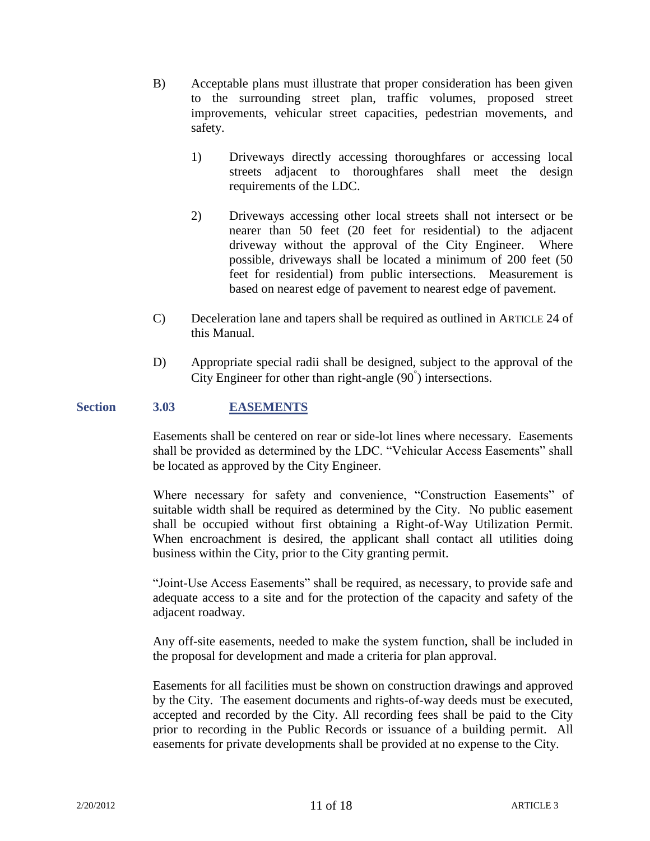- B) Acceptable plans must illustrate that proper consideration has been given to the surrounding street plan, traffic volumes, proposed street improvements, vehicular street capacities, pedestrian movements, and safety.
	- 1) Driveways directly accessing thoroughfares or accessing local streets adjacent to thoroughfares shall meet the design requirements of the LDC.
	- 2) Driveways accessing other local streets shall not intersect or be nearer than 50 feet (20 feet for residential) to the adjacent driveway without the approval of the City Engineer. Where possible, driveways shall be located a minimum of 200 feet (50 feet for residential) from public intersections. Measurement is based on nearest edge of pavement to nearest edge of pavement.
- C) Deceleration lane and tapers shall be required as outlined in ARTICLE 24 of this Manual.
- D) Appropriate special radii shall be designed, subject to the approval of the City Engineer for other than right-angle  $(90\degree)$  intersections.

## **Section 3.03 EASEMENTS**

Easements shall be centered on rear or side-lot lines where necessary. Easements shall be provided as determined by the LDC. "Vehicular Access Easements" shall be located as approved by the City Engineer.

Where necessary for safety and convenience, "Construction Easements" of suitable width shall be required as determined by the City. No public easement shall be occupied without first obtaining a Right-of-Way Utilization Permit. When encroachment is desired, the applicant shall contact all utilities doing business within the City, prior to the City granting permit.

"Joint-Use Access Easements" shall be required, as necessary, to provide safe and adequate access to a site and for the protection of the capacity and safety of the adjacent roadway.

Any off-site easements, needed to make the system function, shall be included in the proposal for development and made a criteria for plan approval.

Easements for all facilities must be shown on construction drawings and approved by the City. The easement documents and rights-of-way deeds must be executed, accepted and recorded by the City. All recording fees shall be paid to the City prior to recording in the Public Records or issuance of a building permit. All easements for private developments shall be provided at no expense to the City.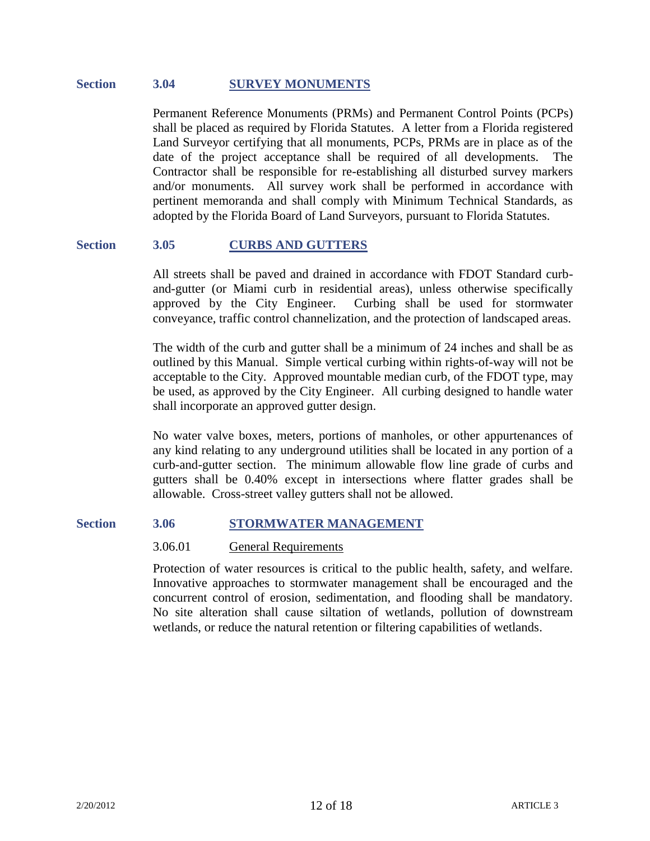#### **Section 3.04 SURVEY MONUMENTS**

Permanent Reference Monuments (PRMs) and Permanent Control Points (PCPs) shall be placed as required by Florida Statutes. A letter from a Florida registered Land Surveyor certifying that all monuments, PCPs, PRMs are in place as of the date of the project acceptance shall be required of all developments. The Contractor shall be responsible for re-establishing all disturbed survey markers and/or monuments. All survey work shall be performed in accordance with pertinent memoranda and shall comply with Minimum Technical Standards, as adopted by the Florida Board of Land Surveyors, pursuant to Florida Statutes.

#### **Section 3.05 CURBS AND GUTTERS**

All streets shall be paved and drained in accordance with FDOT Standard curband-gutter (or Miami curb in residential areas), unless otherwise specifically approved by the City Engineer. Curbing shall be used for stormwater conveyance, traffic control channelization, and the protection of landscaped areas.

The width of the curb and gutter shall be a minimum of 24 inches and shall be as outlined by this Manual. Simple vertical curbing within rights-of-way will not be acceptable to the City. Approved mountable median curb, of the FDOT type, may be used, as approved by the City Engineer. All curbing designed to handle water shall incorporate an approved gutter design.

No water valve boxes, meters, portions of manholes, or other appurtenances of any kind relating to any underground utilities shall be located in any portion of a curb-and-gutter section. The minimum allowable flow line grade of curbs and gutters shall be 0.40% except in intersections where flatter grades shall be allowable. Cross-street valley gutters shall not be allowed.

#### **Section 3.06 STORMWATER MANAGEMENT**

#### 3.06.01 General Requirements

Protection of water resources is critical to the public health, safety, and welfare. Innovative approaches to stormwater management shall be encouraged and the concurrent control of erosion, sedimentation, and flooding shall be mandatory. No site alteration shall cause siltation of wetlands, pollution of downstream wetlands, or reduce the natural retention or filtering capabilities of wetlands.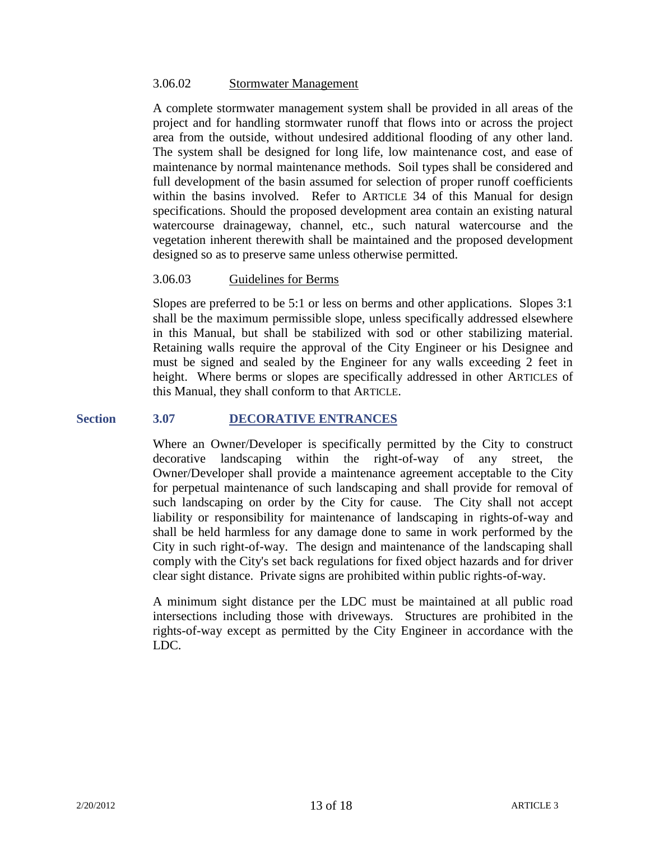#### 3.06.02 Stormwater Management

A complete stormwater management system shall be provided in all areas of the project and for handling stormwater runoff that flows into or across the project area from the outside, without undesired additional flooding of any other land. The system shall be designed for long life, low maintenance cost, and ease of maintenance by normal maintenance methods. Soil types shall be considered and full development of the basin assumed for selection of proper runoff coefficients within the basins involved. Refer to ARTICLE 34 of this Manual for design specifications. Should the proposed development area contain an existing natural watercourse drainageway, channel, etc., such natural watercourse and the vegetation inherent therewith shall be maintained and the proposed development designed so as to preserve same unless otherwise permitted.

## 3.06.03 Guidelines for Berms

Slopes are preferred to be 5:1 or less on berms and other applications. Slopes 3:1 shall be the maximum permissible slope, unless specifically addressed elsewhere in this Manual, but shall be stabilized with sod or other stabilizing material. Retaining walls require the approval of the City Engineer or his Designee and must be signed and sealed by the Engineer for any walls exceeding 2 feet in height. Where berms or slopes are specifically addressed in other ARTICLES of this Manual, they shall conform to that ARTICLE.

## **Section 3.07 DECORATIVE ENTRANCES**

Where an Owner/Developer is specifically permitted by the City to construct decorative landscaping within the right-of-way of any street, the Owner/Developer shall provide a maintenance agreement acceptable to the City for perpetual maintenance of such landscaping and shall provide for removal of such landscaping on order by the City for cause. The City shall not accept liability or responsibility for maintenance of landscaping in rights-of-way and shall be held harmless for any damage done to same in work performed by the City in such right-of-way. The design and maintenance of the landscaping shall comply with the City's set back regulations for fixed object hazards and for driver clear sight distance. Private signs are prohibited within public rights-of-way.

A minimum sight distance per the LDC must be maintained at all public road intersections including those with driveways. Structures are prohibited in the rights-of-way except as permitted by the City Engineer in accordance with the LDC.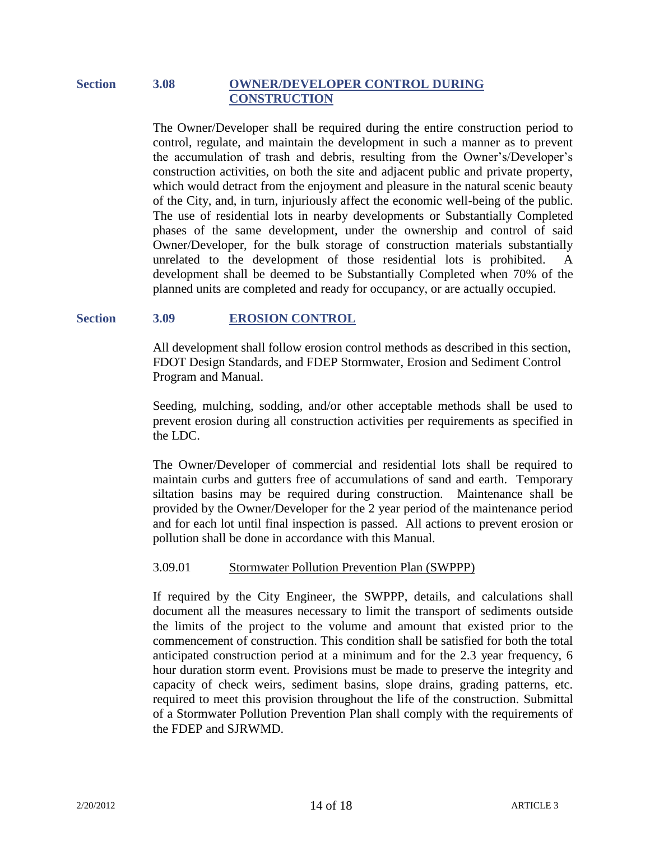## **Section 3.08 OWNER/DEVELOPER CONTROL DURING CONSTRUCTION**

The Owner/Developer shall be required during the entire construction period to control, regulate, and maintain the development in such a manner as to prevent the accumulation of trash and debris, resulting from the Owner's/Developer's construction activities, on both the site and adjacent public and private property, which would detract from the enjoyment and pleasure in the natural scenic beauty of the City, and, in turn, injuriously affect the economic well-being of the public. The use of residential lots in nearby developments or Substantially Completed phases of the same development, under the ownership and control of said Owner/Developer, for the bulk storage of construction materials substantially unrelated to the development of those residential lots is prohibited. A development shall be deemed to be Substantially Completed when 70% of the planned units are completed and ready for occupancy, or are actually occupied.

## **Section 3.09 EROSION CONTROL**

All development shall follow erosion control methods as described in this section, FDOT Design Standards, and FDEP Stormwater, Erosion and Sediment Control Program and Manual.

Seeding, mulching, sodding, and/or other acceptable methods shall be used to prevent erosion during all construction activities per requirements as specified in the LDC.

The Owner/Developer of commercial and residential lots shall be required to maintain curbs and gutters free of accumulations of sand and earth. Temporary siltation basins may be required during construction. Maintenance shall be provided by the Owner/Developer for the 2 year period of the maintenance period and for each lot until final inspection is passed. All actions to prevent erosion or pollution shall be done in accordance with this Manual.

#### 3.09.01 Stormwater Pollution Prevention Plan (SWPPP)

If required by the City Engineer, the SWPPP, details, and calculations shall document all the measures necessary to limit the transport of sediments outside the limits of the project to the volume and amount that existed prior to the commencement of construction. This condition shall be satisfied for both the total anticipated construction period at a minimum and for the 2.3 year frequency, 6 hour duration storm event. Provisions must be made to preserve the integrity and capacity of check weirs, sediment basins, slope drains, grading patterns, etc. required to meet this provision throughout the life of the construction. Submittal of a Stormwater Pollution Prevention Plan shall comply with the requirements of the FDEP and SJRWMD.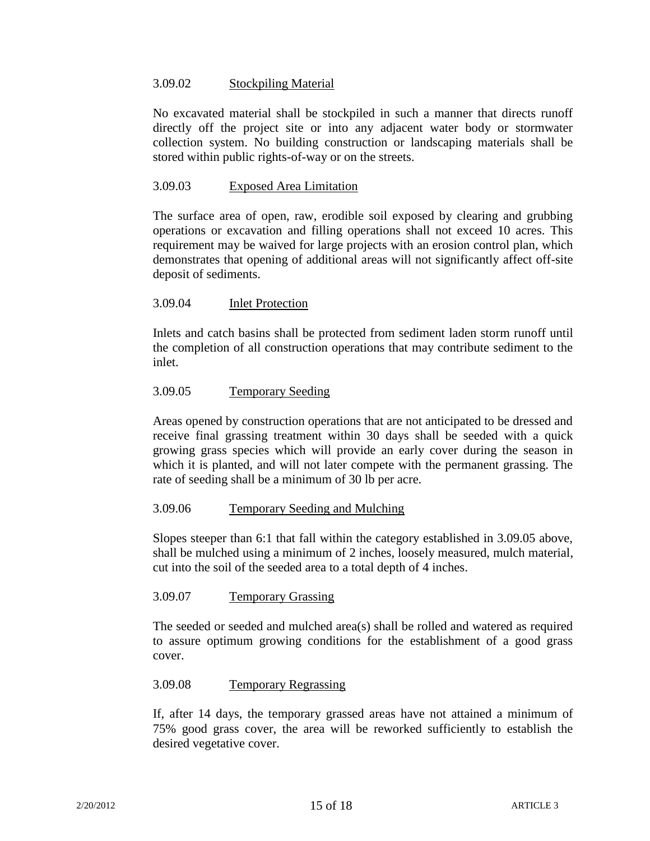## 3.09.02 Stockpiling Material

No excavated material shall be stockpiled in such a manner that directs runoff directly off the project site or into any adjacent water body or stormwater collection system. No building construction or landscaping materials shall be stored within public rights-of-way or on the streets.

## 3.09.03 Exposed Area Limitation

The surface area of open, raw, erodible soil exposed by clearing and grubbing operations or excavation and filling operations shall not exceed 10 acres. This requirement may be waived for large projects with an erosion control plan, which demonstrates that opening of additional areas will not significantly affect off-site deposit of sediments.

## 3.09.04 Inlet Protection

Inlets and catch basins shall be protected from sediment laden storm runoff until the completion of all construction operations that may contribute sediment to the inlet.

## 3.09.05 Temporary Seeding

Areas opened by construction operations that are not anticipated to be dressed and receive final grassing treatment within 30 days shall be seeded with a quick growing grass species which will provide an early cover during the season in which it is planted, and will not later compete with the permanent grassing. The rate of seeding shall be a minimum of 30 lb per acre.

#### 3.09.06 Temporary Seeding and Mulching

Slopes steeper than 6:1 that fall within the category established in 3.09.05 above, shall be mulched using a minimum of 2 inches, loosely measured, mulch material, cut into the soil of the seeded area to a total depth of 4 inches.

#### 3.09.07 Temporary Grassing

The seeded or seeded and mulched area(s) shall be rolled and watered as required to assure optimum growing conditions for the establishment of a good grass cover.

#### 3.09.08 Temporary Regrassing

If, after 14 days, the temporary grassed areas have not attained a minimum of 75% good grass cover, the area will be reworked sufficiently to establish the desired vegetative cover.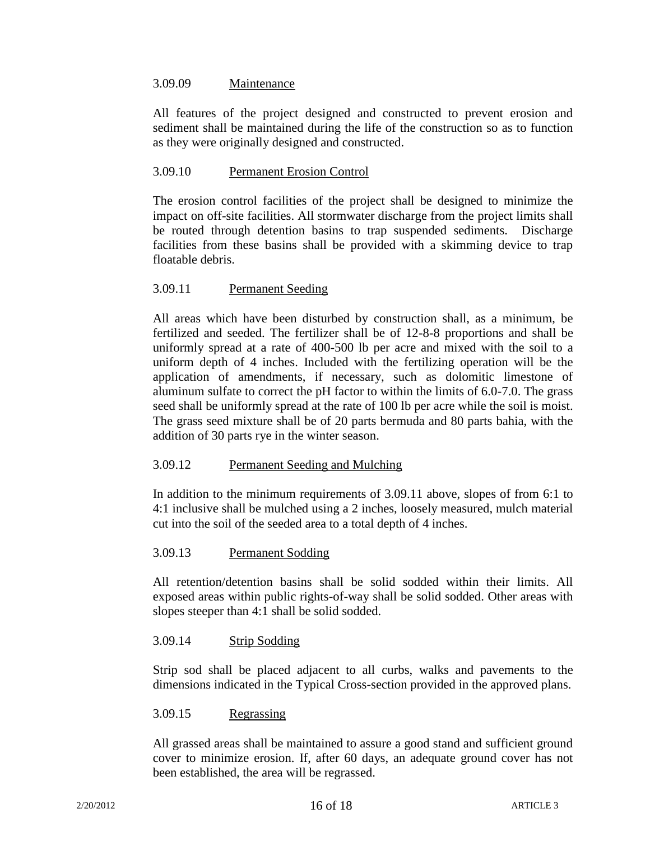## 3.09.09 Maintenance

All features of the project designed and constructed to prevent erosion and sediment shall be maintained during the life of the construction so as to function as they were originally designed and constructed.

## 3.09.10 Permanent Erosion Control

The erosion control facilities of the project shall be designed to minimize the impact on off-site facilities. All stormwater discharge from the project limits shall be routed through detention basins to trap suspended sediments. Discharge facilities from these basins shall be provided with a skimming device to trap floatable debris.

## 3.09.11 Permanent Seeding

All areas which have been disturbed by construction shall, as a minimum, be fertilized and seeded. The fertilizer shall be of 12-8-8 proportions and shall be uniformly spread at a rate of 400-500 lb per acre and mixed with the soil to a uniform depth of 4 inches. Included with the fertilizing operation will be the application of amendments, if necessary, such as dolomitic limestone of aluminum sulfate to correct the pH factor to within the limits of 6.0-7.0. The grass seed shall be uniformly spread at the rate of 100 lb per acre while the soil is moist. The grass seed mixture shall be of 20 parts bermuda and 80 parts bahia, with the addition of 30 parts rye in the winter season.

## 3.09.12 Permanent Seeding and Mulching

In addition to the minimum requirements of 3.09.11 above, slopes of from 6:1 to 4:1 inclusive shall be mulched using a 2 inches, loosely measured, mulch material cut into the soil of the seeded area to a total depth of 4 inches.

## 3.09.13 Permanent Sodding

All retention/detention basins shall be solid sodded within their limits. All exposed areas within public rights-of-way shall be solid sodded. Other areas with slopes steeper than 4:1 shall be solid sodded.

## 3.09.14 Strip Sodding

Strip sod shall be placed adjacent to all curbs, walks and pavements to the dimensions indicated in the Typical Cross-section provided in the approved plans.

#### 3.09.15 Regrassing

All grassed areas shall be maintained to assure a good stand and sufficient ground cover to minimize erosion. If, after 60 days, an adequate ground cover has not been established, the area will be regrassed.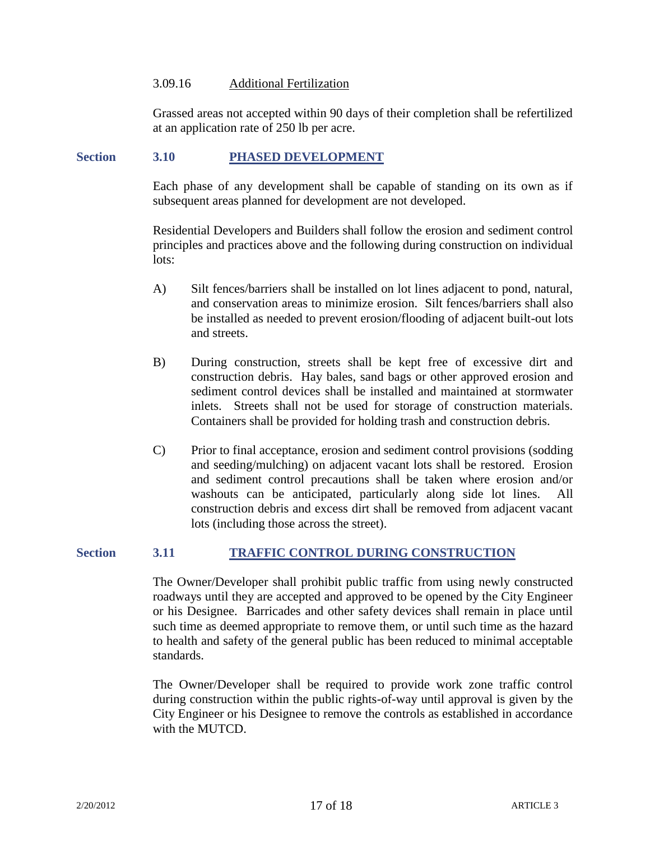#### 3.09.16 Additional Fertilization

Grassed areas not accepted within 90 days of their completion shall be refertilized at an application rate of 250 lb per acre.

#### **Section 3.10 PHASED DEVELOPMENT**

Each phase of any development shall be capable of standing on its own as if subsequent areas planned for development are not developed.

Residential Developers and Builders shall follow the erosion and sediment control principles and practices above and the following during construction on individual lots:

- A) Silt fences/barriers shall be installed on lot lines adjacent to pond, natural, and conservation areas to minimize erosion. Silt fences/barriers shall also be installed as needed to prevent erosion/flooding of adjacent built-out lots and streets.
- B) During construction, streets shall be kept free of excessive dirt and construction debris. Hay bales, sand bags or other approved erosion and sediment control devices shall be installed and maintained at stormwater inlets. Streets shall not be used for storage of construction materials. Containers shall be provided for holding trash and construction debris.
- C) Prior to final acceptance, erosion and sediment control provisions (sodding and seeding/mulching) on adjacent vacant lots shall be restored. Erosion and sediment control precautions shall be taken where erosion and/or washouts can be anticipated, particularly along side lot lines. All construction debris and excess dirt shall be removed from adjacent vacant lots (including those across the street).

## **Section 3.11 TRAFFIC CONTROL DURING CONSTRUCTION**

The Owner/Developer shall prohibit public traffic from using newly constructed roadways until they are accepted and approved to be opened by the City Engineer or his Designee. Barricades and other safety devices shall remain in place until such time as deemed appropriate to remove them, or until such time as the hazard to health and safety of the general public has been reduced to minimal acceptable standards.

The Owner/Developer shall be required to provide work zone traffic control during construction within the public rights-of-way until approval is given by the City Engineer or his Designee to remove the controls as established in accordance with the MUTCD.